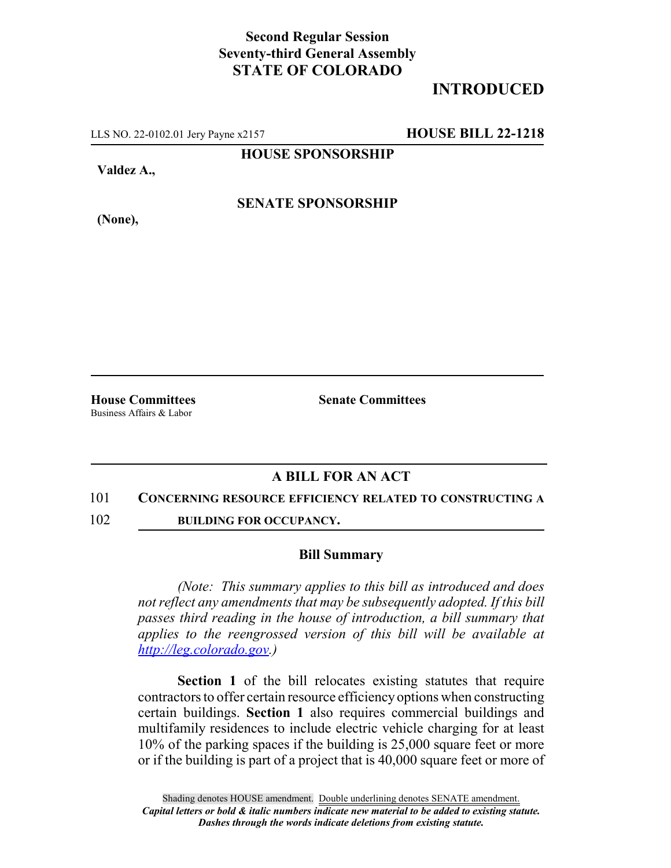# **Second Regular Session Seventy-third General Assembly STATE OF COLORADO**

# **INTRODUCED**

LLS NO. 22-0102.01 Jery Payne x2157 **HOUSE BILL 22-1218**

**HOUSE SPONSORSHIP**

**Valdez A.,**

**SENATE SPONSORSHIP**

**(None),**

Business Affairs & Labor

**House Committees Senate Committees**

## **A BILL FOR AN ACT**

#### 101 **CONCERNING RESOURCE EFFICIENCY RELATED TO CONSTRUCTING A**

102 **BUILDING FOR OCCUPANCY.**

### **Bill Summary**

*(Note: This summary applies to this bill as introduced and does not reflect any amendments that may be subsequently adopted. If this bill passes third reading in the house of introduction, a bill summary that applies to the reengrossed version of this bill will be available at http://leg.colorado.gov.)*

**Section 1** of the bill relocates existing statutes that require contractors to offer certain resource efficiency options when constructing certain buildings. **Section 1** also requires commercial buildings and multifamily residences to include electric vehicle charging for at least 10% of the parking spaces if the building is 25,000 square feet or more or if the building is part of a project that is 40,000 square feet or more of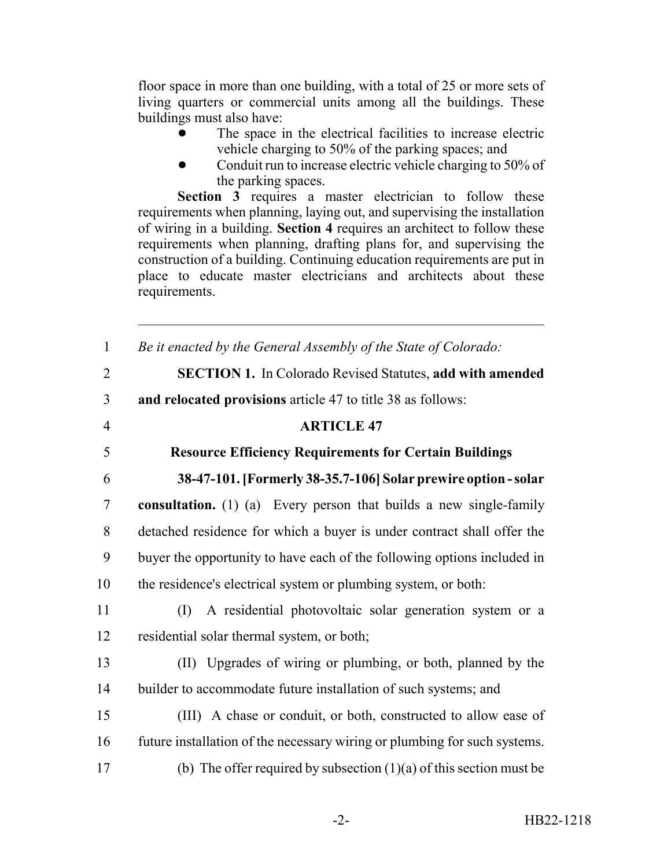floor space in more than one building, with a total of 25 or more sets of living quarters or commercial units among all the buildings. These buildings must also have:

- The space in the electrical facilities to increase electric vehicle charging to 50% of the parking spaces; and
- Conduit run to increase electric vehicle charging to 50% of the parking spaces.

**Section 3** requires a master electrician to follow these requirements when planning, laying out, and supervising the installation of wiring in a building. **Section 4** requires an architect to follow these requirements when planning, drafting plans for, and supervising the construction of a building. Continuing education requirements are put in place to educate master electricians and architects about these requirements.

| $\mathbf{1}$   | Be it enacted by the General Assembly of the State of Colorado:           |
|----------------|---------------------------------------------------------------------------|
| $\overline{2}$ | SECTION 1. In Colorado Revised Statutes, add with amended                 |
| $\overline{3}$ | and relocated provisions article 47 to title 38 as follows:               |
| $\overline{4}$ | <b>ARTICLE 47</b>                                                         |
| 5              | <b>Resource Efficiency Requirements for Certain Buildings</b>             |
| 6              | 38-47-101. [Formerly 38-35.7-106] Solar prewire option - solar            |
| $\overline{7}$ | consultation. (1) (a) Every person that builds a new single-family        |
| 8              | detached residence for which a buyer is under contract shall offer the    |
| 9              | buyer the opportunity to have each of the following options included in   |
| 10             | the residence's electrical system or plumbing system, or both:            |
| 11             | A residential photovoltaic solar generation system or a<br>(I)            |
| 12             | residential solar thermal system, or both;                                |
| 13             | (II) Upgrades of wiring or plumbing, or both, planned by the              |
| 14             | builder to accommodate future installation of such systems; and           |
| 15             | (III) A chase or conduit, or both, constructed to allow ease of           |
| 16             | future installation of the necessary wiring or plumbing for such systems. |
| 17             | (b) The offer required by subsection $(1)(a)$ of this section must be     |
|                |                                                                           |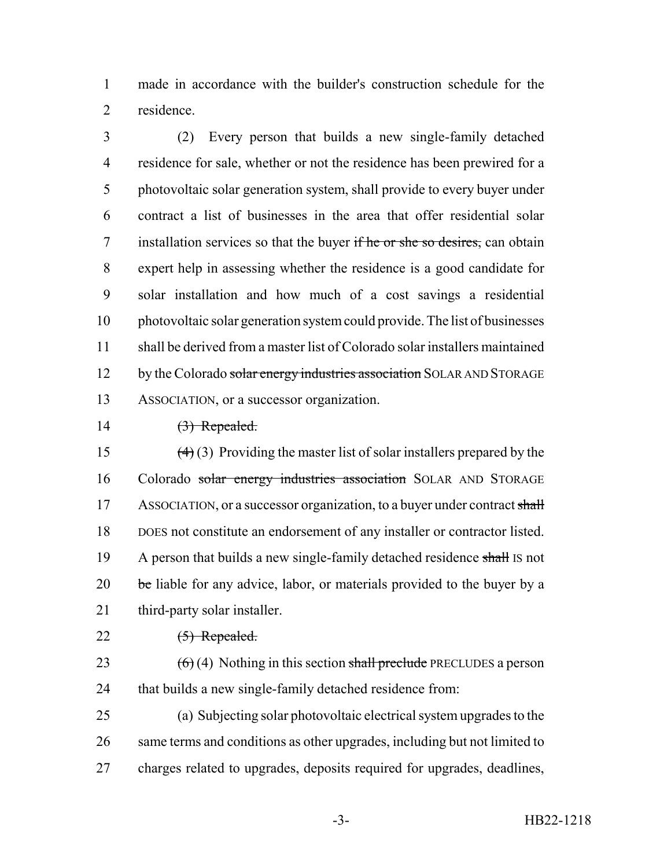made in accordance with the builder's construction schedule for the residence.

 (2) Every person that builds a new single-family detached residence for sale, whether or not the residence has been prewired for a photovoltaic solar generation system, shall provide to every buyer under contract a list of businesses in the area that offer residential solar 7 installation services so that the buyer if he or she so desires, can obtain expert help in assessing whether the residence is a good candidate for solar installation and how much of a cost savings a residential photovoltaic solar generation system could provide. The list of businesses shall be derived from a master list of Colorado solar installers maintained 12 by the Colorado solar energy industries association SOLAR AND STORAGE ASSOCIATION, or a successor organization.

### $14 \qquad \qquad (3) \text{ Repeated.}$

15  $(4)(3)$  Providing the master list of solar installers prepared by the 16 Colorado solar energy industries association SOLAR AND STORAGE 17 ASSOCIATION, or a successor organization, to a buyer under contract shall DOES not constitute an endorsement of any installer or contractor listed. 19 A person that builds a new single-family detached residence shall IS not be liable for any advice, labor, or materials provided to the buyer by a third-party solar installer.

## $22 \qquad \qquad \textbf{(5) Repeated.}$

- 23  $(6)(4)$  Nothing in this section shall preclude PRECLUDES a person that builds a new single-family detached residence from:
- (a) Subjecting solar photovoltaic electrical system upgrades to the same terms and conditions as other upgrades, including but not limited to charges related to upgrades, deposits required for upgrades, deadlines,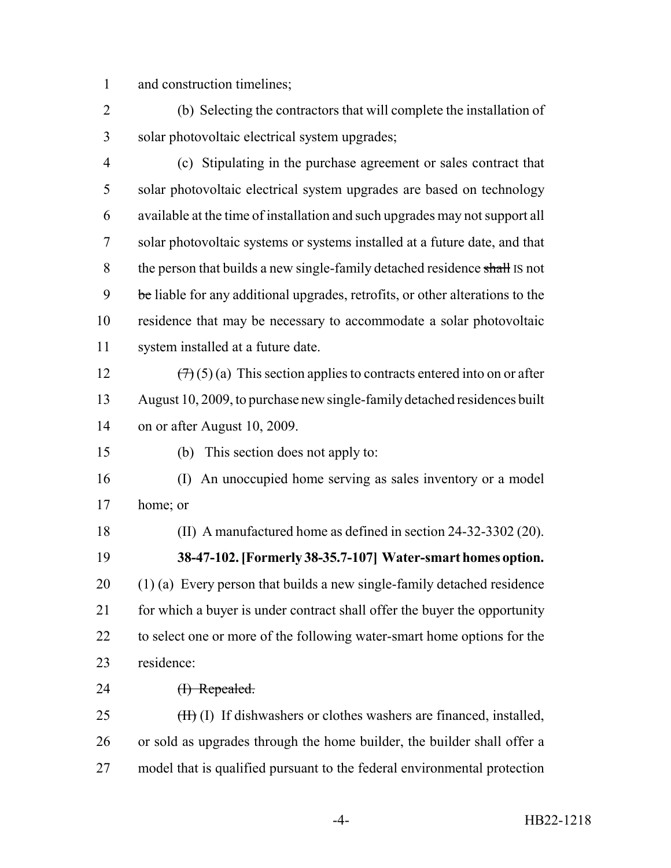and construction timelines;

 (b) Selecting the contractors that will complete the installation of solar photovoltaic electrical system upgrades;

 (c) Stipulating in the purchase agreement or sales contract that solar photovoltaic electrical system upgrades are based on technology available at the time of installation and such upgrades may not support all solar photovoltaic systems or systems installed at a future date, and that 8 the person that builds a new single-family detached residence shall IS not 9 be liable for any additional upgrades, retrofits, or other alterations to the residence that may be necessary to accommodate a solar photovoltaic system installed at a future date.

12  $(\forall x)(5)(a)$  This section applies to contracts entered into on or after August 10, 2009, to purchase new single-family detached residences built on or after August 10, 2009.

(b) This section does not apply to:

 (I) An unoccupied home serving as sales inventory or a model home; or

(II) A manufactured home as defined in section 24-32-3302 (20).

 **38-47-102. [Formerly 38-35.7-107] Water-smart homes option.** (1) (a) Every person that builds a new single-family detached residence 21 for which a buyer is under contract shall offer the buyer the opportunity 22 to select one or more of the following water-smart home options for the residence:

24 <del>(I) Repealed.</del>

 (H) (I) If dishwashers or clothes washers are financed, installed, or sold as upgrades through the home builder, the builder shall offer a model that is qualified pursuant to the federal environmental protection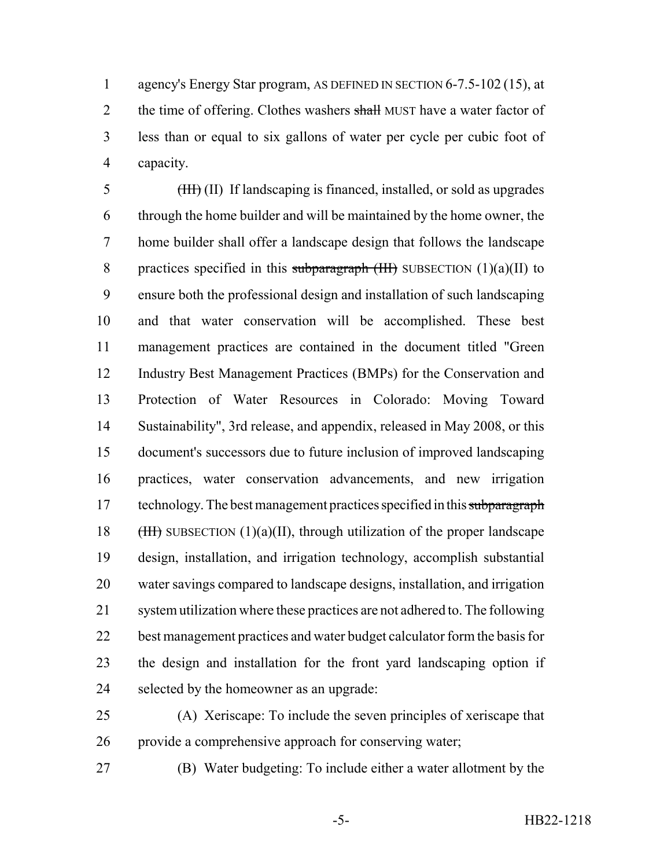agency's Energy Star program, AS DEFINED IN SECTION 6-7.5-102 (15), at 2 the time of offering. Clothes washers shall MUST have a water factor of less than or equal to six gallons of water per cycle per cubic foot of capacity.

 (III) (II) If landscaping is financed, installed, or sold as upgrades through the home builder and will be maintained by the home owner, the home builder shall offer a landscape design that follows the landscape 8 practices specified in this subparagraph  $(HH)$  SUBSECTION  $(1)(a)(II)$  to ensure both the professional design and installation of such landscaping and that water conservation will be accomplished. These best management practices are contained in the document titled "Green Industry Best Management Practices (BMPs) for the Conservation and Protection of Water Resources in Colorado: Moving Toward Sustainability", 3rd release, and appendix, released in May 2008, or this document's successors due to future inclusion of improved landscaping practices, water conservation advancements, and new irrigation 17 technology. The best management practices specified in this subparagraph 18 (HII) SUBSECTION (1)(a)(II), through utilization of the proper landscape design, installation, and irrigation technology, accomplish substantial water savings compared to landscape designs, installation, and irrigation system utilization where these practices are not adhered to. The following best management practices and water budget calculator form the basis for the design and installation for the front yard landscaping option if selected by the homeowner as an upgrade:

 (A) Xeriscape: To include the seven principles of xeriscape that provide a comprehensive approach for conserving water;

(B) Water budgeting: To include either a water allotment by the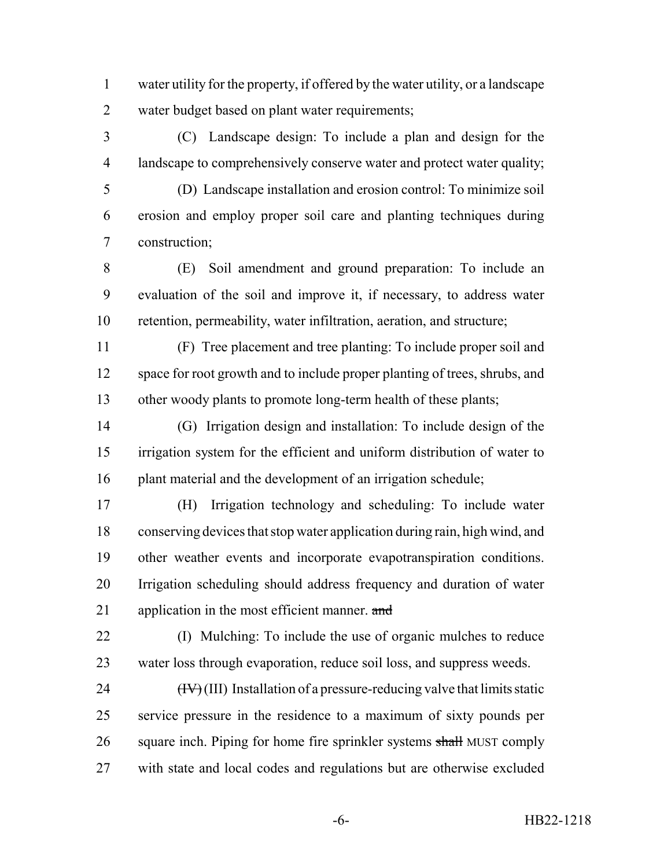- water utility for the property, if offered by the water utility, or a landscape water budget based on plant water requirements;
- (C) Landscape design: To include a plan and design for the landscape to comprehensively conserve water and protect water quality;
- 

 (D) Landscape installation and erosion control: To minimize soil erosion and employ proper soil care and planting techniques during construction;

 (E) Soil amendment and ground preparation: To include an evaluation of the soil and improve it, if necessary, to address water retention, permeability, water infiltration, aeration, and structure;

 (F) Tree placement and tree planting: To include proper soil and 12 space for root growth and to include proper planting of trees, shrubs, and other woody plants to promote long-term health of these plants;

 (G) Irrigation design and installation: To include design of the irrigation system for the efficient and uniform distribution of water to plant material and the development of an irrigation schedule;

 (H) Irrigation technology and scheduling: To include water conserving devices that stop water application during rain, high wind, and other weather events and incorporate evapotranspiration conditions. Irrigation scheduling should address frequency and duration of water 21 application in the most efficient manner. and

 (I) Mulching: To include the use of organic mulches to reduce water loss through evaporation, reduce soil loss, and suppress weeds.

 $(HV)(III)$  Installation of a pressure-reducing valve that limits static service pressure in the residence to a maximum of sixty pounds per 26 square inch. Piping for home fire sprinkler systems shall MUST comply with state and local codes and regulations but are otherwise excluded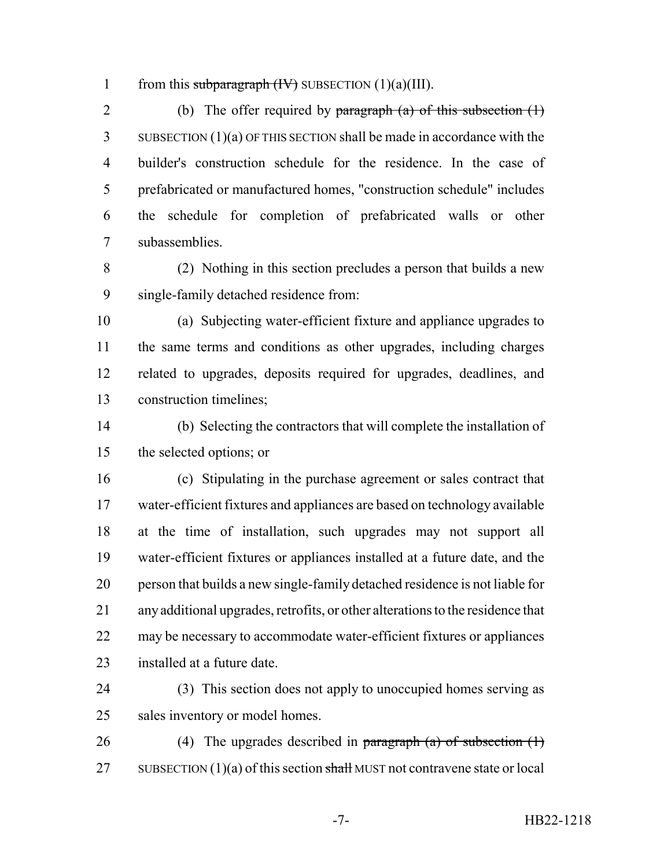1 from this subparagraph  $(W)$  SUBSECTION  $(1)(a)(III)$ .

2 (b) The offer required by paragraph  $(a)$  of this subsection  $(1)$  SUBSECTION (1)(a) OF THIS SECTION shall be made in accordance with the builder's construction schedule for the residence. In the case of prefabricated or manufactured homes, "construction schedule" includes the schedule for completion of prefabricated walls or other subassemblies.

 (2) Nothing in this section precludes a person that builds a new single-family detached residence from:

 (a) Subjecting water-efficient fixture and appliance upgrades to the same terms and conditions as other upgrades, including charges related to upgrades, deposits required for upgrades, deadlines, and construction timelines;

 (b) Selecting the contractors that will complete the installation of the selected options; or

 (c) Stipulating in the purchase agreement or sales contract that water-efficient fixtures and appliances are based on technology available at the time of installation, such upgrades may not support all water-efficient fixtures or appliances installed at a future date, and the person that builds a new single-family detached residence is not liable for any additional upgrades, retrofits, or other alterations to the residence that may be necessary to accommodate water-efficient fixtures or appliances installed at a future date.

 (3) This section does not apply to unoccupied homes serving as sales inventory or model homes.

26 (4) The upgrades described in paragraph (a) of subsection  $(1)$ 27 SUBSECTION  $(1)(a)$  of this section shall MUST not contravene state or local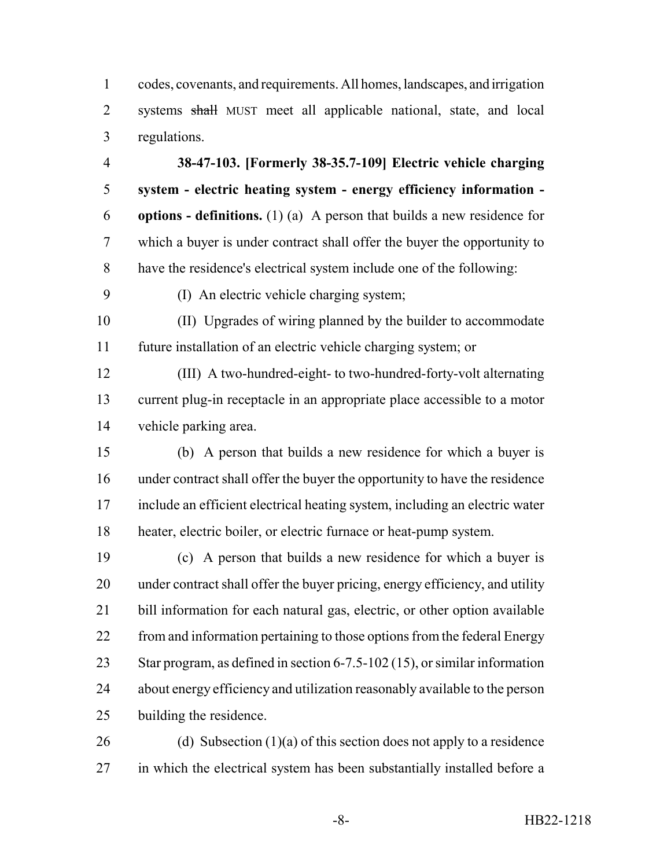codes, covenants, and requirements. All homes, landscapes, and irrigation 2 systems shall MUST meet all applicable national, state, and local regulations.

 **38-47-103. [Formerly 38-35.7-109] Electric vehicle charging system - electric heating system - energy efficiency information - options - definitions.** (1) (a) A person that builds a new residence for which a buyer is under contract shall offer the buyer the opportunity to have the residence's electrical system include one of the following:

(I) An electric vehicle charging system;

 (II) Upgrades of wiring planned by the builder to accommodate future installation of an electric vehicle charging system; or

 (III) A two-hundred-eight- to two-hundred-forty-volt alternating current plug-in receptacle in an appropriate place accessible to a motor vehicle parking area.

 (b) A person that builds a new residence for which a buyer is under contract shall offer the buyer the opportunity to have the residence include an efficient electrical heating system, including an electric water heater, electric boiler, or electric furnace or heat-pump system.

 (c) A person that builds a new residence for which a buyer is under contract shall offer the buyer pricing, energy efficiency, and utility bill information for each natural gas, electric, or other option available 22 from and information pertaining to those options from the federal Energy Star program, as defined in section 6-7.5-102 (15), or similar information about energy efficiency and utilization reasonably available to the person building the residence.

26 (d) Subsection  $(1)(a)$  of this section does not apply to a residence 27 in which the electrical system has been substantially installed before a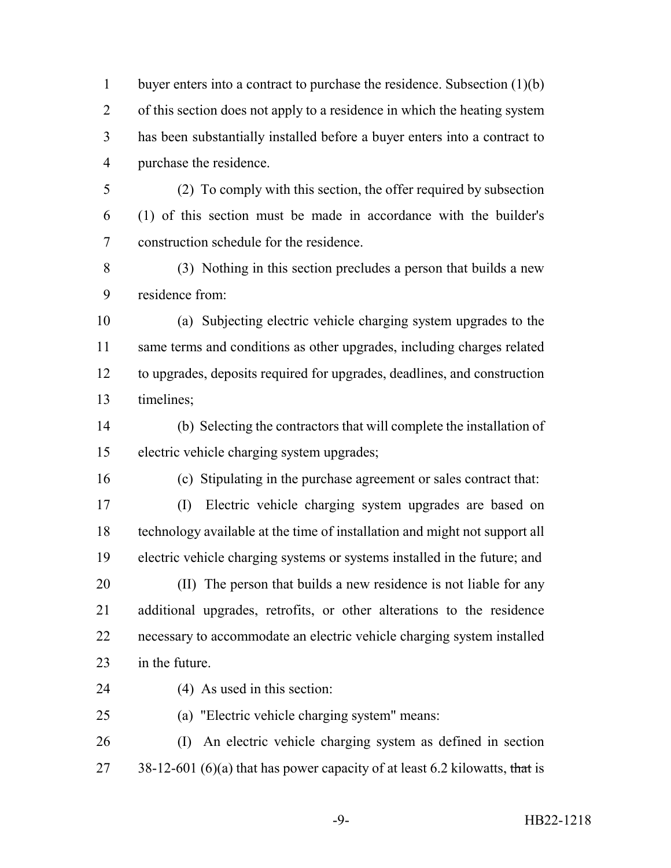buyer enters into a contract to purchase the residence. Subsection (1)(b) of this section does not apply to a residence in which the heating system has been substantially installed before a buyer enters into a contract to purchase the residence.

- (2) To comply with this section, the offer required by subsection (1) of this section must be made in accordance with the builder's construction schedule for the residence.
- (3) Nothing in this section precludes a person that builds a new residence from:

 (a) Subjecting electric vehicle charging system upgrades to the same terms and conditions as other upgrades, including charges related to upgrades, deposits required for upgrades, deadlines, and construction timelines;

 (b) Selecting the contractors that will complete the installation of electric vehicle charging system upgrades;

- (c) Stipulating in the purchase agreement or sales contract that:
- (I) Electric vehicle charging system upgrades are based on technology available at the time of installation and might not support all electric vehicle charging systems or systems installed in the future; and (II) The person that builds a new residence is not liable for any additional upgrades, retrofits, or other alterations to the residence necessary to accommodate an electric vehicle charging system installed
- in the future.
- (4) As used in this section:
- (a) "Electric vehicle charging system" means:

 (I) An electric vehicle charging system as defined in section 27 38-12-601 (6)(a) that has power capacity of at least 6.2 kilowatts, that is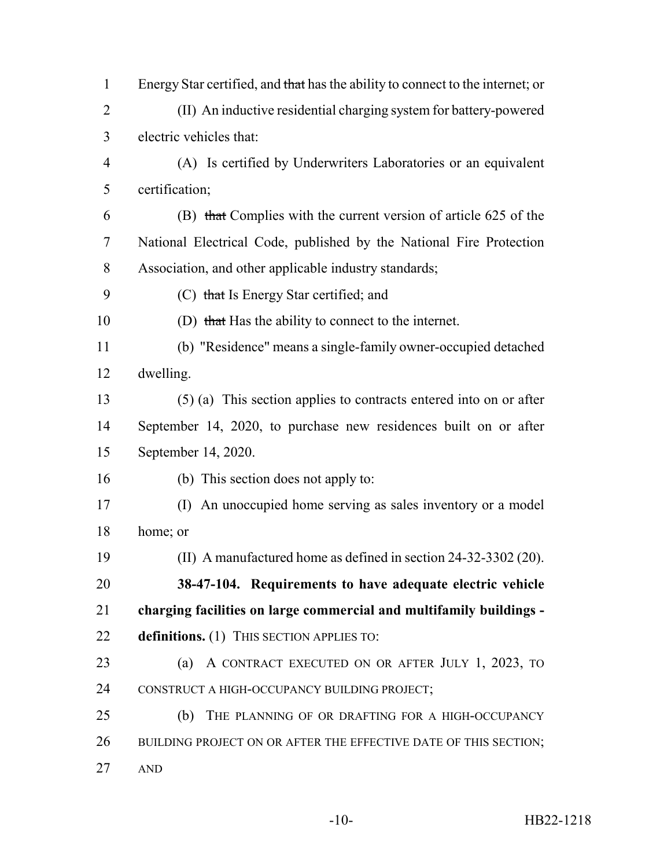| $\mathbf{1}$   | Energy Star certified, and that has the ability to connect to the internet; or |
|----------------|--------------------------------------------------------------------------------|
| $\overline{2}$ | (II) An inductive residential charging system for battery-powered              |
| 3              | electric vehicles that:                                                        |
| $\overline{4}$ | (A) Is certified by Underwriters Laboratories or an equivalent                 |
| 5              | certification;                                                                 |
| 6              | (B) that Complies with the current version of article 625 of the               |
| 7              | National Electrical Code, published by the National Fire Protection            |
| 8              | Association, and other applicable industry standards;                          |
| 9              | (C) that Is Energy Star certified; and                                         |
| 10             | (D) that Has the ability to connect to the internet.                           |
| 11             | (b) "Residence" means a single-family owner-occupied detached                  |
| 12             | dwelling.                                                                      |
| 13             | $(5)$ (a) This section applies to contracts entered into on or after           |
| 14             | September 14, 2020, to purchase new residences built on or after               |
| 15             | September 14, 2020.                                                            |
| 16             | (b) This section does not apply to:                                            |
| 17             | (I) An unoccupied home serving as sales inventory or a model                   |
| 18             | home; or                                                                       |
| 19             | (II) A manufactured home as defined in section 24-32-3302 (20).                |
| 20             | 38-47-104. Requirements to have adequate electric vehicle                      |
| 21             | charging facilities on large commercial and multifamily buildings -            |
| 22             | definitions. (1) THIS SECTION APPLIES TO:                                      |
| 23             | A CONTRACT EXECUTED ON OR AFTER JULY 1, 2023, TO<br>(a)                        |
| 24             | CONSTRUCT A HIGH-OCCUPANCY BUILDING PROJECT;                                   |
| 25             | (b)<br>THE PLANNING OF OR DRAFTING FOR A HIGH-OCCUPANCY                        |
| 26             | BUILDING PROJECT ON OR AFTER THE EFFECTIVE DATE OF THIS SECTION;               |
| 27             | <b>AND</b>                                                                     |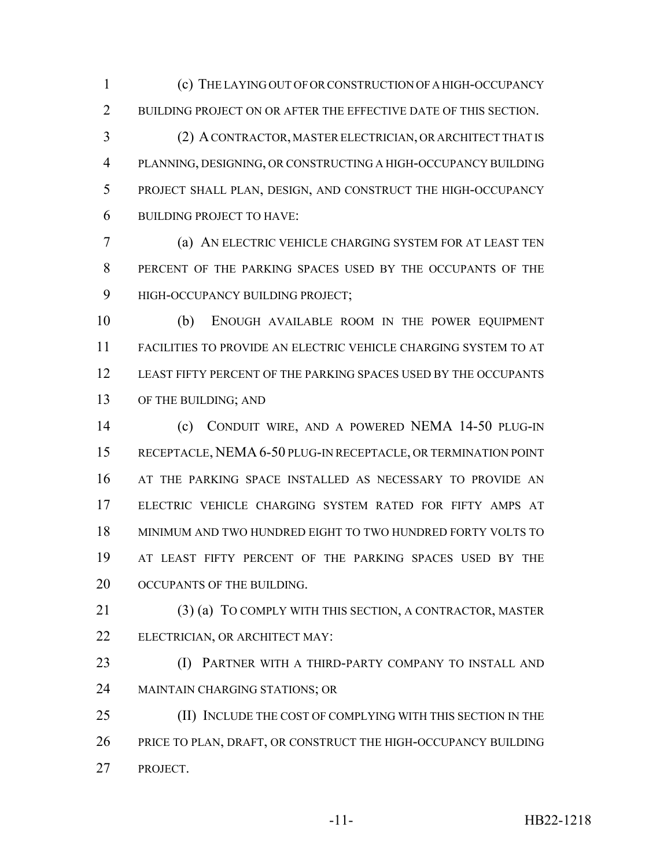(c) THE LAYING OUT OF OR CONSTRUCTION OF A HIGH-OCCUPANCY 2 BUILDING PROJECT ON OR AFTER THE EFFECTIVE DATE OF THIS SECTION.

 (2) A CONTRACTOR, MASTER ELECTRICIAN, OR ARCHITECT THAT IS PLANNING, DESIGNING, OR CONSTRUCTING A HIGH-OCCUPANCY BUILDING PROJECT SHALL PLAN, DESIGN, AND CONSTRUCT THE HIGH-OCCUPANCY BUILDING PROJECT TO HAVE:

 (a) AN ELECTRIC VEHICLE CHARGING SYSTEM FOR AT LEAST TEN PERCENT OF THE PARKING SPACES USED BY THE OCCUPANTS OF THE HIGH-OCCUPANCY BUILDING PROJECT;

 (b) ENOUGH AVAILABLE ROOM IN THE POWER EQUIPMENT FACILITIES TO PROVIDE AN ELECTRIC VEHICLE CHARGING SYSTEM TO AT LEAST FIFTY PERCENT OF THE PARKING SPACES USED BY THE OCCUPANTS OF THE BUILDING; AND

 (c) CONDUIT WIRE, AND A POWERED NEMA 14-50 PLUG-IN RECEPTACLE, NEMA 6-50 PLUG-IN RECEPTACLE, OR TERMINATION POINT AT THE PARKING SPACE INSTALLED AS NECESSARY TO PROVIDE AN ELECTRIC VEHICLE CHARGING SYSTEM RATED FOR FIFTY AMPS AT MINIMUM AND TWO HUNDRED EIGHT TO TWO HUNDRED FORTY VOLTS TO AT LEAST FIFTY PERCENT OF THE PARKING SPACES USED BY THE 20 OCCUPANTS OF THE BUILDING.

 (3) (a) TO COMPLY WITH THIS SECTION, A CONTRACTOR, MASTER ELECTRICIAN, OR ARCHITECT MAY:

**(I) PARTNER WITH A THIRD-PARTY COMPANY TO INSTALL AND** MAINTAIN CHARGING STATIONS; OR

25 (II) INCLUDE THE COST OF COMPLYING WITH THIS SECTION IN THE PRICE TO PLAN, DRAFT, OR CONSTRUCT THE HIGH-OCCUPANCY BUILDING PROJECT.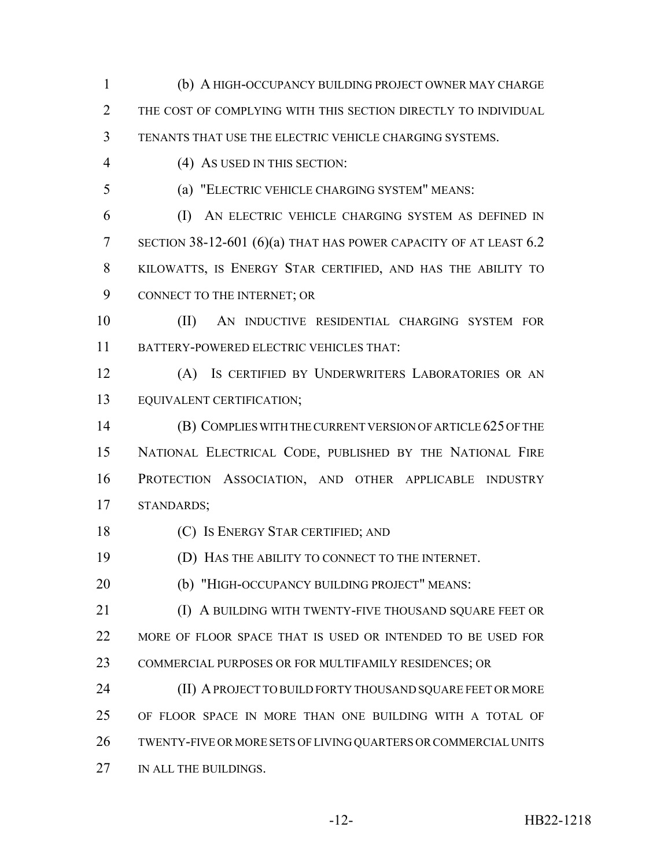(b) A HIGH-OCCUPANCY BUILDING PROJECT OWNER MAY CHARGE THE COST OF COMPLYING WITH THIS SECTION DIRECTLY TO INDIVIDUAL TENANTS THAT USE THE ELECTRIC VEHICLE CHARGING SYSTEMS. (4) AS USED IN THIS SECTION: (a) "ELECTRIC VEHICLE CHARGING SYSTEM" MEANS: (I) AN ELECTRIC VEHICLE CHARGING SYSTEM AS DEFINED IN 7 SECTION 38-12-601 (6)(a) THAT HAS POWER CAPACITY OF AT LEAST 6.2 KILOWATTS, IS ENERGY STAR CERTIFIED, AND HAS THE ABILITY TO CONNECT TO THE INTERNET; OR (II) AN INDUCTIVE RESIDENTIAL CHARGING SYSTEM FOR BATTERY-POWERED ELECTRIC VEHICLES THAT: (A) IS CERTIFIED BY UNDERWRITERS LABORATORIES OR AN EQUIVALENT CERTIFICATION; (B) COMPLIES WITH THE CURRENT VERSION OF ARTICLE 625 OF THE NATIONAL ELECTRICAL CODE, PUBLISHED BY THE NATIONAL FIRE PROTECTION ASSOCIATION, AND OTHER APPLICABLE INDUSTRY STANDARDS; (C) IS ENERGY STAR CERTIFIED; AND (D) HAS THE ABILITY TO CONNECT TO THE INTERNET. (b) "HIGH-OCCUPANCY BUILDING PROJECT" MEANS: **IDEO** A BUILDING WITH TWENTY-FIVE THOUSAND SOUARE FEET OR 22 MORE OF FLOOR SPACE THAT IS USED OR INTENDED TO BE USED FOR COMMERCIAL PURPOSES OR FOR MULTIFAMILY RESIDENCES; OR **(II) A PROJECT TO BUILD FORTY THOUSAND SQUARE FEET OR MORE**  OF FLOOR SPACE IN MORE THAN ONE BUILDING WITH A TOTAL OF TWENTY-FIVE OR MORE SETS OF LIVING QUARTERS OR COMMERCIAL UNITS 27 IN ALL THE BUILDINGS.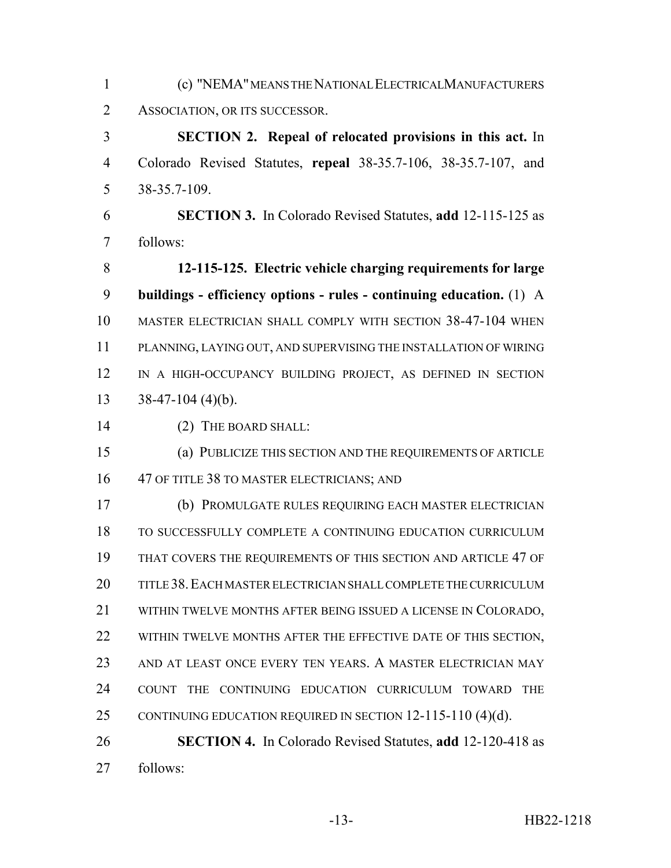(c) "NEMA" MEANS THE NATIONAL ELECTRICALMANUFACTURERS ASSOCIATION, OR ITS SUCCESSOR.

 **SECTION 2. Repeal of relocated provisions in this act.** In Colorado Revised Statutes, **repeal** 38-35.7-106, 38-35.7-107, and 38-35.7-109.

 **SECTION 3.** In Colorado Revised Statutes, **add** 12-115-125 as follows:

 **12-115-125. Electric vehicle charging requirements for large buildings - efficiency options - rules - continuing education.** (1) A MASTER ELECTRICIAN SHALL COMPLY WITH SECTION 38-47-104 WHEN PLANNING, LAYING OUT, AND SUPERVISING THE INSTALLATION OF WIRING IN A HIGH-OCCUPANCY BUILDING PROJECT, AS DEFINED IN SECTION  $13 \quad 38-47-104 \ (4)(b).$ 

14 (2) THE BOARD SHALL:

 (a) PUBLICIZE THIS SECTION AND THE REQUIREMENTS OF ARTICLE 16 47 OF TITLE 38 TO MASTER ELECTRICIANS; AND

 (b) PROMULGATE RULES REQUIRING EACH MASTER ELECTRICIAN TO SUCCESSFULLY COMPLETE A CONTINUING EDUCATION CURRICULUM THAT COVERS THE REQUIREMENTS OF THIS SECTION AND ARTICLE 47 OF TITLE 38.EACH MASTER ELECTRICIAN SHALL COMPLETE THE CURRICULUM WITHIN TWELVE MONTHS AFTER BEING ISSUED A LICENSE IN COLORADO, 22 WITHIN TWELVE MONTHS AFTER THE EFFECTIVE DATE OF THIS SECTION, AND AT LEAST ONCE EVERY TEN YEARS. A MASTER ELECTRICIAN MAY COUNT THE CONTINUING EDUCATION CURRICULUM TOWARD THE 25 CONTINUING EDUCATION REQUIRED IN SECTION 12-115-110 (4)(d).

 **SECTION 4.** In Colorado Revised Statutes, **add** 12-120-418 as follows: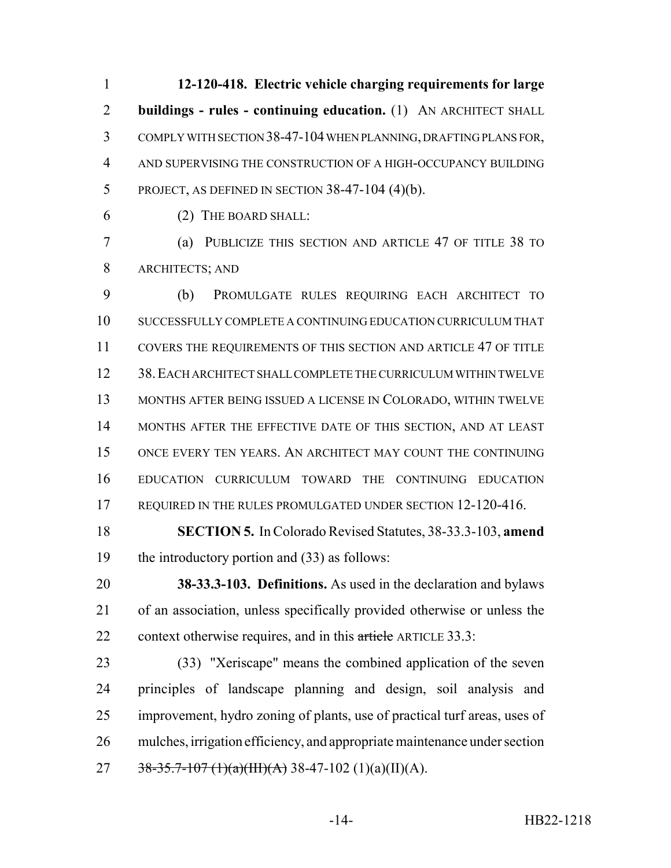**12-120-418. Electric vehicle charging requirements for large buildings - rules - continuing education.** (1) AN ARCHITECT SHALL COMPLY WITH SECTION 38-47-104 WHEN PLANNING, DRAFTING PLANS FOR, AND SUPERVISING THE CONSTRUCTION OF A HIGH-OCCUPANCY BUILDING PROJECT, AS DEFINED IN SECTION 38-47-104 (4)(b).

(2) THE BOARD SHALL:

 (a) PUBLICIZE THIS SECTION AND ARTICLE 47 OF TITLE 38 TO ARCHITECTS; AND

 (b) PROMULGATE RULES REQUIRING EACH ARCHITECT TO SUCCESSFULLY COMPLETE A CONTINUING EDUCATION CURRICULUM THAT COVERS THE REQUIREMENTS OF THIS SECTION AND ARTICLE 47 OF TITLE 38.EACH ARCHITECT SHALL COMPLETE THE CURRICULUM WITHIN TWELVE MONTHS AFTER BEING ISSUED A LICENSE IN COLORADO, WITHIN TWELVE 14 MONTHS AFTER THE EFFECTIVE DATE OF THIS SECTION, AND AT LEAST ONCE EVERY TEN YEARS. AN ARCHITECT MAY COUNT THE CONTINUING EDUCATION CURRICULUM TOWARD THE CONTINUING EDUCATION 17 REQUIRED IN THE RULES PROMULGATED UNDER SECTION 12-120-416.

 **SECTION 5.** In Colorado Revised Statutes, 38-33.3-103, **amend** the introductory portion and (33) as follows:

 **38-33.3-103. Definitions.** As used in the declaration and bylaws of an association, unless specifically provided otherwise or unless the 22 context otherwise requires, and in this article ARTICLE 33.3:

 (33) "Xeriscape" means the combined application of the seven principles of landscape planning and design, soil analysis and improvement, hydro zoning of plants, use of practical turf areas, uses of mulches, irrigation efficiency, and appropriate maintenance under section 27 38-35.7-107 (1)(a)(III)(A) 38-47-102 (1)(a)(II)(A).